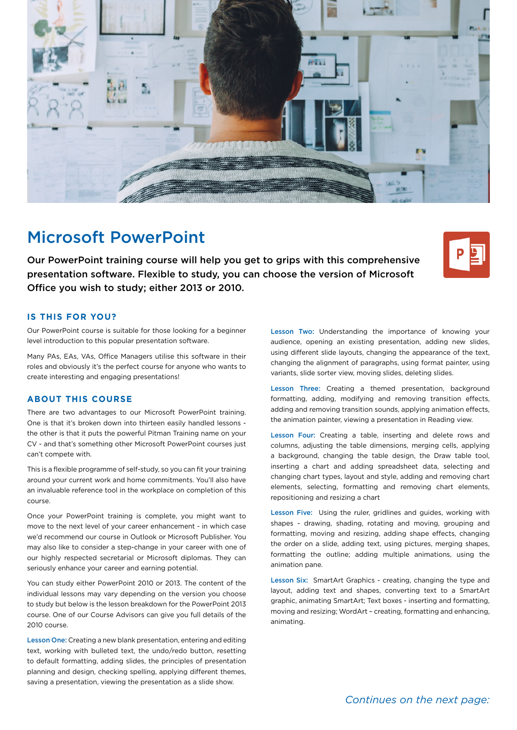

# Microsoft PowerPoint

Our PowerPoint training course will help you get to grips with this comprehensive presentation software. Flexible to study, you can choose the version of Microsoft Office you wish to study; either 2013 or 2010.



#### **IS THIS FOR YOU?**

Our PowerPoint course is suitable for those looking for a beginner level introduction to this popular presentation software.

Many PAs, EAs, VAs, Office Managers utilise this software in their roles and obviously it's the perfect course for anyone who wants to create interesting and engaging presentations!

### **ABOUT THIS COURSE**

There are two advantages to our Microsoft PowerPoint training. One is that it's broken down into thirteen easily handled lessons the other is that it puts the powerful Pitman Training name on your CV - and that's something other Microsoft PowerPoint courses just can't compete with.

This is a flexible programme of self-study, so you can fit your training around your current work and home commitments. You'll also have an invaluable reference tool in the workplace on completion of this course.

Once your PowerPoint training is complete, you might want to move to the next level of your career enhancement - in which case we'd recommend our course in Outlook or Microsoft Publisher. You may also like to consider a step-change in your career with one of our highly respected secretarial or Microsoft diplomas. They can seriously enhance your career and earning potential.

You can study either PowerPoint 2010 or 2013. The content of the individual lessons may vary depending on the version you choose to study but below is the lesson breakdown for the PowerPoint 2013 course. One of our Course Advisors can give you full details of the 2010 course.

Lesson One: Creating a new blank presentation, entering and editing text, working with bulleted text, the undo/redo button, resetting to default formatting, adding slides, the principles of presentation planning and design, checking spelling, applying different themes, saving a presentation, viewing the presentation as a slide show.

Lesson Two: Understanding the importance of knowing your audience, opening an existing presentation, adding new slides, using different slide layouts, changing the appearance of the text, changing the alignment of paragraphs, using format painter, using variants, slide sorter view, moving slides, deleting slides.

Lesson Three: Creating a themed presentation, background formatting, adding, modifying and removing transition effects, adding and removing transition sounds, applying animation effects, the animation painter, viewing a presentation in Reading view.

Lesson Four: Creating a table, inserting and delete rows and columns, adjusting the table dimensions, merging cells, applying a background, changing the table design, the Draw table tool, inserting a chart and adding spreadsheet data, selecting and changing chart types, layout and style, adding and removing chart elements, selecting, formatting and removing chart elements, repositioning and resizing a chart

Lesson Five: Using the ruler, gridlines and guides, working with shapes - drawing, shading, rotating and moving, grouping and formatting, moving and resizing, adding shape effects, changing the order on a slide, adding text, using pictures, merging shapes, formatting the outline; adding multiple animations, using the animation pane.

Lesson Six: SmartArt Graphics - creating, changing the type and layout, adding text and shapes, converting text to a SmartArt graphic, animating SmartArt; Text boxes - inserting and formatting, moving and resizing; WordArt – creating, formatting and enhancing, animating.